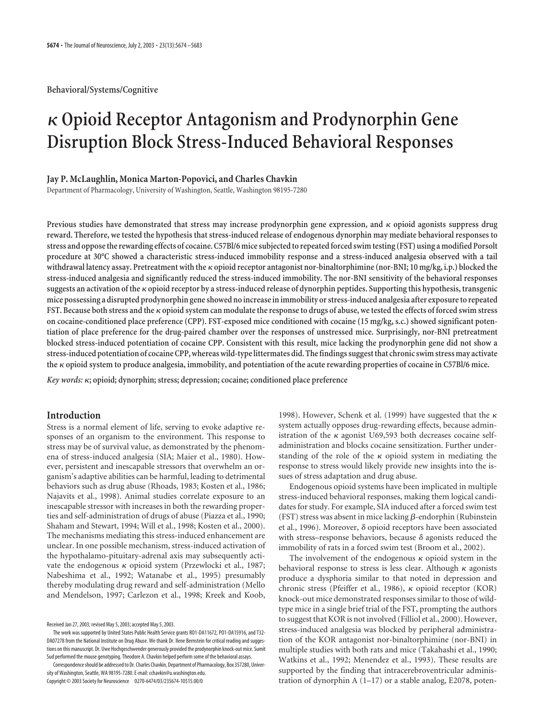**Behavioral/Systems/Cognitive**

# **Opioid Receptor Antagonism and Prodynorphin Gene Disruption Block Stress-Induced Behavioral Responses**

## **Jay P. McLaughlin, Monica Marton-Popovici, and Charles Chavkin**

Department of Pharmacology, University of Washington, Seattle, Washington 98195-7280

**Previous studies have demonstrated that stress may increase prodynorphin gene expression, and opioid agonists suppress drug reward. Therefore, we tested the hypothesis that stress-induced release of endogenous dynorphin may mediate behavioral responses to stress and oppose the rewarding effects of cocaine. C57Bl/6 mice subjected to repeated forced swim testing (FST) using a modified Porsolt procedure at 30°C showed a characteristic stress-induced immobility response and a stress-induced analgesia observed with a tail withdrawal latency assay. Pretreatment with the opioid receptor antagonist nor-binaltorphimine (nor-BNI; 10 mg/kg, i.p.) blocked the stress-induced analgesia and significantly reduced the stress-induced immobility. The nor-BNI sensitivity of the behavioral responses suggests an activation of the opioid receptor by a stress-induced release of dynorphin peptides. Supporting this hypothesis, transgenic mice possessing a disrupted prodynorphin gene showed no increase in immobility or stress-induced analgesia after exposure to repeated** FST. Because both stress and the  $\kappa$  opioid system can modulate the response to drugs of abuse, we tested the effects of forced swim stress **on cocaine-conditioned place preference (CPP). FST-exposed mice conditioned with cocaine (15 mg/kg, s.c.) showed significant potentiation of place preference for the drug-paired chamber over the responses of unstressed mice. Surprisingly, nor-BNI pretreatment blocked stress-induced potentiation of cocaine CPP. Consistent with this result, mice lacking the prodynorphin gene did not show a stress-induced potentiation of cocaine CPP, whereas wild-type littermates did. The findings suggest that chronic swim stress may activate the opioid system to produce analgesia, immobility, and potentiation of the acute rewarding properties of cocaine in C57Bl/6 mice.**

*Key words:* **; opioid; dynorphin; stress; depression; cocaine; conditioned place preference**

## **Introduction**

Stress is a normal element of life, serving to evoke adaptive responses of an organism to the environment. This response to stress may be of survival value, as demonstrated by the phenomena of stress-induced analgesia (SIA; Maier et al., 1980). However, persistent and inescapable stressors that overwhelm an organism's adaptive abilities can be harmful, leading to detrimental behaviors such as drug abuse (Rhoads, 1983; Kosten et al., 1986; Najavits et al., 1998). Animal studies correlate exposure to an inescapable stressor with increases in both the rewarding properties and self-administration of drugs of abuse (Piazza et al., 1990; Shaham and Stewart, 1994; Will et al., 1998; Kosten et al., 2000). The mechanisms mediating this stress-induced enhancement are unclear. In one possible mechanism, stress-induced activation of the hypothalamo-pituitary-adrenal axis may subsequently activate the endogenous  $\kappa$  opioid system (Przewlocki et al., 1987; Nabeshima et al., 1992; Watanabe et al., 1995) presumably thereby modulating drug reward and self-administration (Mello and Mendelson, 1997; Carlezon et al., 1998; Kreek and Koob,

The work was supported by United States Public Health Service grants RO1-DA11672, PO1-DA15916, and T32- DA07278 from the National Institute on Drug Abuse. We thank Dr. Ilene Bernstein for critical reading and suggestions on this manuscript. Dr. Uwe Hochgeschwender generously provided the prodynorphin knock-out mice. Sumit Sud performed the mouse genotyping. Theodore A. Chavkin helped perform some of the behavioral assays.

Correspondence should be addressed to Dr. Charles Chavkin, Department of Pharmacology, Box 357280, University of Washington, Seattle, WA 98195-7280. E-mail: cchavkin@u.washington.edu.

Copyright © 2003 Society for Neuroscience 0270-6474/03/235674-10\$15.00/0

1998). However, Schenk et al. (1999) have suggested that the  $\kappa$ system actually opposes drug-rewarding effects, because administration of the  $\kappa$  agonist U69,593 both decreases cocaine selfadministration and blocks cocaine sensitization. Further understanding of the role of the  $\kappa$  opioid system in mediating the response to stress would likely provide new insights into the issues of stress adaptation and drug abuse.

Endogenous opioid systems have been implicated in multiple stress-induced behavioral responses, making them logical candidates for study. For example, SIA induced after a forced swim test (FST) stress was absent in mice lacking  $\beta$ -endorphin (Rubinstein et al., 1996). Moreover,  $\delta$  opioid receptors have been associated with stress–response behaviors, because  $\delta$  agonists reduced the immobility of rats in a forced swim test (Broom et al., 2002).

The involvement of the endogenous  $\kappa$  opioid system in the behavioral response to stress is less clear. Although  $\kappa$  agonists produce a dysphoria similar to that noted in depression and chronic stress (Pfeiffer et al., 1986),  $\kappa$  opioid receptor (KOR) knock-out mice demonstrated responses similar to those of wildtype mice in a single brief trial of the FST, prompting the authors to suggest that KOR is not involved (Filliol et al., 2000). However, stress-induced analgesia was blocked by peripheral administration of the KOR antagonist nor-binaltorphimine (nor-BNI) in multiple studies with both rats and mice (Takahashi et al., 1990; Watkins et al., 1992; Menendez et al., 1993). These results are supported by the finding that intracerebroventricular administration of dynorphin A (1–17) or a stable analog, E2078, poten-

Received Jan 27, 2003; revised May 5, 2003; accepted May 5, 2003.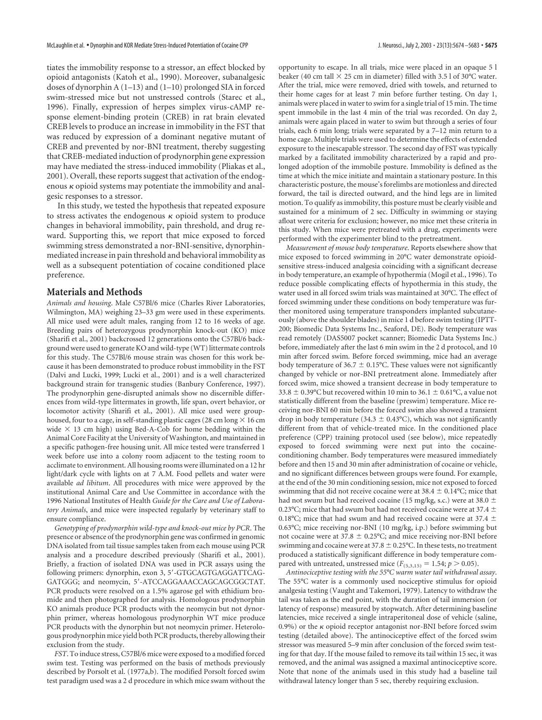tiates the immobility response to a stressor, an effect blocked by opioid antagonists (Katoh et al., 1990). Moreover, subanalgesic doses of dynorphin A (1–13) and (1–10) prolonged SIA in forced swim-stressed mice but not unstressed controls (Starec et al., 1996). Finally, expression of herpes simplex virus-cAMP response element-binding protein (CREB) in rat brain elevated CREB levels to produce an increase in immobility in the FST that was reduced by expression of a dominant negative mutant of CREB and prevented by nor-BNI treatment, thereby suggesting that CREB-mediated induction of prodynorphin gene expression may have mediated the stress-induced immobility (Pliakas et al., 2001). Overall, these reports suggest that activation of the endogenous  $\kappa$  opioid systems may potentiate the immobility and analgesic responses to a stressor.

In this study, we tested the hypothesis that repeated exposure to stress activates the endogenous  $\kappa$  opioid system to produce changes in behavioral immobility, pain threshold, and drug reward. Supporting this, we report that mice exposed to forced swimming stress demonstrated a nor-BNI-sensitive, dynorphinmediated increase in pain threshold and behavioral immobility as well as a subsequent potentiation of cocaine conditioned place preference.

## **Materials and Methods**

*Animals and housing*. Male C57Bl/6 mice (Charles River Laboratories, Wilmington, MA) weighing 23–33 gm were used in these experiments. All mice used were adult males, ranging from 12 to 16 weeks of age. Breeding pairs of heterozygous prodynorphin knock-out (KO) mice (Sharifi et al., 2001) backcrossed 12 generations onto the C57Bl/6 background were used to generate KO and wild-type (WT) littermate controls for this study. The C57Bl/6 mouse strain was chosen for this work because it has been demonstrated to produce robust immobility in the FST (Dalvi and Lucki, 1999; Lucki et al., 2001) and is a well characterized background strain for transgenic studies (Banbury Conference, 1997). The prodynorphin gene-disrupted animals show no discernible differences from wild-type littermates in growth, life span, overt behavior, or locomotor activity (Sharifi et al., 2001). All mice used were grouphoused, four to a cage, in self-standing plastic cages (28 cm long  $\times$  16 cm wide  $\times$  13 cm high) using Bed-A-Cob for home bedding within the Animal Core Facility at the University of Washington, and maintained in a specific pathogen-free housing unit. All mice tested were transferred 1 week before use into a colony room adjacent to the testing room to acclimate to environment. All housing rooms were illuminated on a 12 hr light/dark cycle with lights on at 7 A.M. Food pellets and water were available *ad libitum*. All procedures with mice were approved by the institutional Animal Care and Use Committee in accordance with the 1996 National Institutes of Health *Guide for the Care and Use of Laboratory Animals*, and mice were inspected regularly by veterinary staff to ensure compliance.

*Genotyping of prodynorphin wild-type and knock-out mice by PCR*. The presence or absence of the prodynorphin gene was confirmed in genomic DNA isolated from tail tissue samples taken from each mouse using PCR analysis and a procedure described previously (Sharifi et al., 2001). Briefly, a fraction of isolated DNA was used in PCR assays using the following primers: dynorphin, exon 3, 5'-GTGCAGTGAGGATTCAG-GATGGG; and neomycin, 5'-ATCCAGGAAACCAGCAGCGGCTAT. PCR products were resolved on a 1.5% agarose gel with ethidium bromide and then photographed for analysis. Homologous prodynorphin KO animals produce PCR products with the neomycin but not dynorphin primer, whereas homologous prodynorphin WT mice produce PCR products with the dynorphin but not neomycin primer. Heterologous prodynorphin mice yield both PCR products, thereby allowing their exclusion from the study.

*FST*. To induce stress, C57Bl/6 mice were exposed to a modified forced swim test. Testing was performed on the basis of methods previously described by Porsolt et al. (1977a,b). The modified Porsolt forced swim test paradigm used wasa2d procedure in which mice swam without the

opportunity to escape. In all trials, mice were placed in an opaque 5 l beaker (40 cm tall  $\times$  25 cm in diameter) filled with 3.5 l of 30°C water. After the trial, mice were removed, dried with towels, and returned to their home cages for at least 7 min before further testing. On day 1, animals were placed in water to swim for a single trial of 15 min. The time spent immobile in the last 4 min of the trial was recorded. On day 2, animals were again placed in water to swim but through a series of four trials, each 6 min long; trials were separated by a 7–12 min return to a home cage. Multiple trials were used to determine the effects of extended exposure to the inescapable stressor. The second day of FST was typically marked by a facilitated immobility characterized by a rapid and prolonged adoption of the immobile posture. Immobility is defined as the time at which the mice initiate and maintain a stationary posture. In this characteristic posture, the mouse's forelimbs are motionless and directed forward, the tail is directed outward, and the hind legs are in limited motion. To qualify as immobility, this posture must be clearly visible and sustained for a minimum of 2 sec. Difficulty in swimming or staying afloat were criteria for exclusion; however, no mice met these criteria in this study. When mice were pretreated with a drug, experiments were performed with the experimenter blind to the pretreatment.

*Measurement of mouse body temperature*. Reports elsewhere show that mice exposed to forced swimming in 20°C water demonstrate opioidsensitive stress-induced analgesia coinciding with a significant decrease in body temperature, an example of hypothermia (Mogil et al., 1996). To reduce possible complicating effects of hypothermia in this study, the water used in all forced swim trials was maintained at 30°C. The effect of forced swimming under these conditions on body temperature was further monitored using temperature transponders implanted subcutaneously (above the shoulder blades) in mice 1 d before swim testing (IPTT-200; Biomedic Data Systems Inc., Seaford, DE). Body temperature was read remotely (DAS5007 pocket scanner; Biomedic Data Systems Inc.) before, immediately after the last 6 min swim in the 2 d protocol, and 10 min after forced swim. Before forced swimming, mice had an average body temperature of 36.7  $\pm$  0.15°C. These values were not significantly changed by vehicle or nor-BNI pretreatment alone. Immediately after forced swim, mice showed a transient decrease in body temperature to 33.8  $\pm$  0.39°C but recovered within 10 min to 36.1  $\pm$  0.61°C, a value not statistically different from the baseline (preswim) temperature. Mice receiving nor-BNI 60 min before the forced swim also showed a transient drop in body temperature (34.3  $\pm$  0.43°C), which was not significantly different from that of vehicle-treated mice. In the conditioned place preference (CPP) training protocol used (see below), mice repeatedly exposed to forced swimming were next put into the cocaineconditioning chamber. Body temperatures were measured immediately before and then 15 and 30 min after administration of cocaine or vehicle, and no significant differences between groups were found. For example, at the end of the 30 min conditioning session, mice not exposed to forced swimming that did not receive cocaine were at  $38.4 \pm 0.14$ °C; mice that had not swum but had received cocaine (15 mg/kg, s.c.) were at 38.0  $\pm$ 0.23°C; mice that had swum but had not received cocaine were at 37.4  $\pm$ 0.18°C; mice that had swum and had received cocaine were at 37.4  $\pm$ 0.63°C; mice receiving nor-BNI (10 mg/kg, i.p.) before swimming but not cocaine were at 37.8  $\pm$  0.25°C; and mice receiving nor-BNI before swimming and cocaine were at 37.8  $\pm$  0.25°C. In these tests, no treatment produced a statistically significant difference in body temperature compared with untreated, unstressed mice  $(F_{(5,3,15)} = 1.54; p > 0.05)$ .

*Antinociceptive testing with the 55°C warm water tail withdrawal assay*. The 55°C water is a commonly used nociceptive stimulus for opioid analgesia testing (Vaught and Takemori, 1979). Latency to withdraw the tail was taken as the end point, with the duration of tail immersion (or latency of response) measured by stopwatch. After determining baseline latencies, mice received a single intraperitoneal dose of vehicle (saline, 0.9%) or the  $\kappa$  opioid receptor antagonist nor-BNI before forced swim testing (detailed above). The antinociceptive effect of the forced swim stressor was measured 5–9 min after conclusion of the forced swim testing for that day. If the mouse failed to remove its tail within 15 sec, it was removed, and the animal was assigned a maximal antinociceptive score. Note that none of the animals used in this study had a baseline tail withdrawal latency longer than 5 sec, thereby requiring exclusion.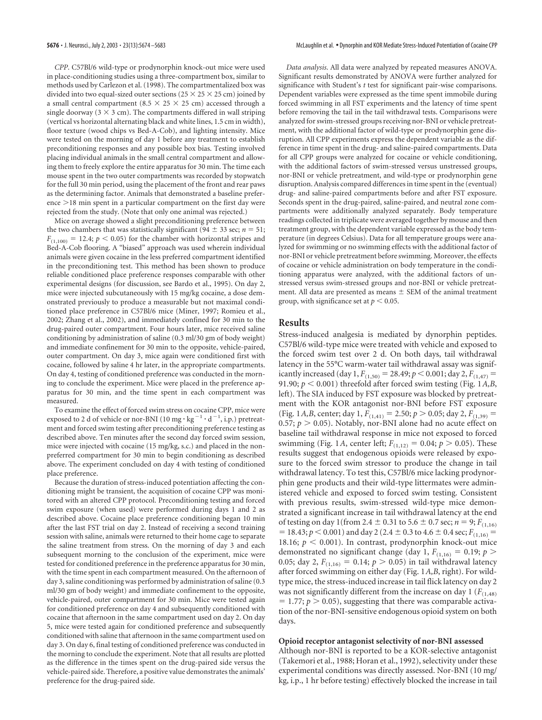*CPP*. C57Bl/6 wild-type or prodynorphin knock-out mice were used in place-conditioning studies using a three-compartment box, similar to methods used by Carlezon et al. (1998). The compartmentalized box was divided into two equal-sized outer sections ( $25 \times 25 \times 25$  cm) joined by a small central compartment (8.5  $\times$  25  $\times$  25 cm) accessed through a single doorway ( $3 \times 3$  cm). The compartments differed in wall striping (vertical vs horizontal alternating black and white lines, 1.5 cm in width), floor texture (wood chips vs Bed-A-Cob), and lighting intensity. Mice were tested on the morning of day 1 before any treatment to establish preconditioning responses and any possible box bias. Testing involved placing individual animals in the small central compartment and allowing them to freely explore the entire apparatus for 30 min. The time each mouse spent in the two outer compartments was recorded by stopwatch for the full 30 min period, using the placement of the front and rear paws as the determining factor. Animals that demonstrated a baseline prefer $ence$  >18 min spent in a particular compartment on the first day were rejected from the study. (Note that only one animal was rejected.)

Mice on average showed a slight preconditioning preference between the two chambers that was statistically significant (94  $\pm$  33 sec; *n* = 51;  $F_{(1,100)} = 12.4$ ;  $p < 0.05$ ) for the chamber with horizontal stripes and Bed-A-Cob flooring. A "biased" approach was used wherein individual animals were given cocaine in the less preferred compartment identified in the preconditioning test. This method has been shown to produce reliable conditioned place preference responses comparable with other experimental designs (for discussion, see Bardo et al., 1995). On day 2, mice were injected subcutaneously with 15 mg/kg cocaine, a dose demonstrated previously to produce a measurable but not maximal conditioned place preference in C57Bl/6 mice (Miner, 1997; Romieu et al., 2002; Zhang et al., 2002), and immediately confined for 30 min to the drug-paired outer compartment. Four hours later, mice received saline conditioning by administration of saline (0.3 ml/30 gm of body weight) and immediate confinement for 30 min to the opposite, vehicle-paired, outer compartment. On day 3, mice again were conditioned first with cocaine, followed by saline 4 hr later, in the appropriate compartments. On day 4, testing of conditioned preference was conducted in the morning to conclude the experiment. Mice were placed in the preference apparatus for 30 min, and the time spent in each compartment was measured.

To examine the effect of forced swim stress on cocaine CPP, mice were exposed to 2 d of vehicle or nor-BNI (10 mg  $\cdot$  kg  $^{-1}$   $\cdot$  d  $^{-1}$ , i.p.) pretreatment and forced swim testing after preconditioning preference testing as described above. Ten minutes after the second day forced swim session, mice were injected with cocaine (15 mg/kg, s.c.) and placed in the nonpreferred compartment for 30 min to begin conditioning as described above. The experiment concluded on day 4 with testing of conditioned place preference.

Because the duration of stress-induced potentiation affecting the conditioning might be transient, the acquisition of cocaine CPP was monitored with an altered CPP protocol. Preconditioning testing and forced swim exposure (when used) were performed during days 1 and 2 as described above. Cocaine place preference conditioning began 10 min after the last FST trial on day 2. Instead of receiving a second training session with saline, animals were returned to their home cage to separate the saline treatment from stress. On the morning of day 3 and each subsequent morning to the conclusion of the experiment, mice were tested for conditioned preference in the preference apparatus for 30 min, with the time spent in each compartment measured. On the afternoon of day 3, saline conditioning was performed by administration of saline (0.3 ml/30 gm of body weight) and immediate confinement to the opposite, vehicle-paired, outer compartment for 30 min. Mice were tested again for conditioned preference on day 4 and subsequently conditioned with cocaine that afternoon in the same compartment used on day 2. On day 5, mice were tested again for conditioned preference and subsequently conditioned with saline that afternoon in the same compartment used on day 3. On day 6, final testing of conditioned preference was conducted in the morning to conclude the experiment. Note that all results are plotted as the difference in the times spent on the drug-paired side versus the vehicle-paired side. Therefore, a positive value demonstrates the animals' preference for the drug-paired side.

*Data analysis*. All data were analyzed by repeated measures ANOVA. Significant results demonstrated by ANOVA were further analyzed for significance with Student's *t* test for significant pair-wise comparisons. Dependent variables were expressed as the time spent immobile during forced swimming in all FST experiments and the latency of time spent before removing the tail in the tail withdrawal tests. Comparisons were analyzed for swim-stressed groups receiving nor-BNI or vehicle pretreatment, with the additional factor of wild-type or prodynorphin gene disruption. All CPP experiments express the dependent variable as the difference in time spent in the drug- and saline-paired compartments. Data for all CPP groups were analyzed for cocaine or vehicle conditioning, with the additional factors of swim-stressed versus unstressed groups, nor-BNI or vehicle pretreatment, and wild-type or prodynorphin gene disruption. Analysis compared differences in time spent in the (eventual) drug- and saline-paired compartments before and after FST exposure. Seconds spent in the drug-paired, saline-paired, and neutral zone compartments were additionally analyzed separately. Body temperature readings collected in triplicate were averaged together by mouse and then treatment group, with the dependent variable expressed as the body temperature (in degrees Celsius). Data for all temperature groups were analyzed for swimming or no swimming effects with the additional factor of nor-BNI or vehicle pretreatment before swimming. Moreover, the effects of cocaine or vehicle administration on body temperature in the conditioning apparatus were analyzed, with the additional factors of unstressed versus swim-stressed groups and nor-BNI or vehicle pretreatment. All data are presented as means  $\pm$  SEM of the animal treatment group, with significance set at  $p < 0.05$ .

# **Results**

Stress-induced analgesia is mediated by dynorphin peptides. C57Bl/6 wild-type mice were treated with vehicle and exposed to the forced swim test over 2 d. On both days, tail withdrawal latency in the 55°C warm-water tail withdrawal assay was significantly increased (day 1,  $F_{(1,50)} = 28.49; p < 0.001;$  day 2,  $F_{(1,47)} =$ 91.90;  $p < 0.001$ ) threefold after forced swim testing (Fig. 1A,B, left). The SIA induced by FST exposure was blocked by pretreatment with the KOR antagonist nor-BNI before FST exposure (Fig. 1*A,B*, center; day 1,  $F_{(1,41)} = 2.50$ ;  $p > 0.05$ ; day 2,  $F_{(1,39)} =$ 0.57;  $p > 0.05$ ). Notably, nor-BNI alone had no acute effect on baseline tail withdrawal response in mice not exposed to forced swimming (Fig. 1A, center left;  $F_{(1,12)} = 0.04$ ;  $p > 0.05$ ). These results suggest that endogenous opioids were released by exposure to the forced swim stressor to produce the change in tail withdrawal latency. To test this, C57Bl/6 mice lacking prodynorphin gene products and their wild-type littermates were administered vehicle and exposed to forced swim testing. Consistent with previous results, swim-stressed wild-type mice demonstrated a significant increase in tail withdrawal latency at the end of testing on day 1(from 2.4  $\pm$  0.31 to 5.6  $\pm$  0.7 sec; *n* = 9; *F*<sub>(1,16)</sub> = 18.43;  $p < 0.001$ ) and day 2 (2.4  $\pm$  0.3 to 4.6  $\pm$  0.4 sec;  $F_{(1,16)}$  = 18.16;  $p < 0.001$ ). In contrast, prodynorphin knock-out mice demonstrated no significant change (day 1,  $F_{(1,16)} = 0.19$ ;  $p >$ 0.05; day 2,  $F_{(1,16)} = 0.14$ ;  $p > 0.05$ ) in tail withdrawal latency after forced swimming on either day (Fig. 1*A,B*, right). For wildtype mice, the stress-induced increase in tail flick latency on day 2 was not significantly different from the increase on day 1  $(F<sub>(1,48)</sub>)$  $= 1.77$ ;  $p > 0.05$ ), suggesting that there was comparable activation of the nor-BNI-sensitive endogenous opioid system on both days.

#### **Opioid receptor antagonist selectivity of nor-BNI assessed**

Although nor-BNI is reported to be a KOR-selective antagonist (Takemori et al., 1988; Horan et al., 1992), selectivity under these experimental conditions was directly assessed. Nor-BNI (10 mg/ kg, i.p., 1 hr before testing) effectively blocked the increase in tail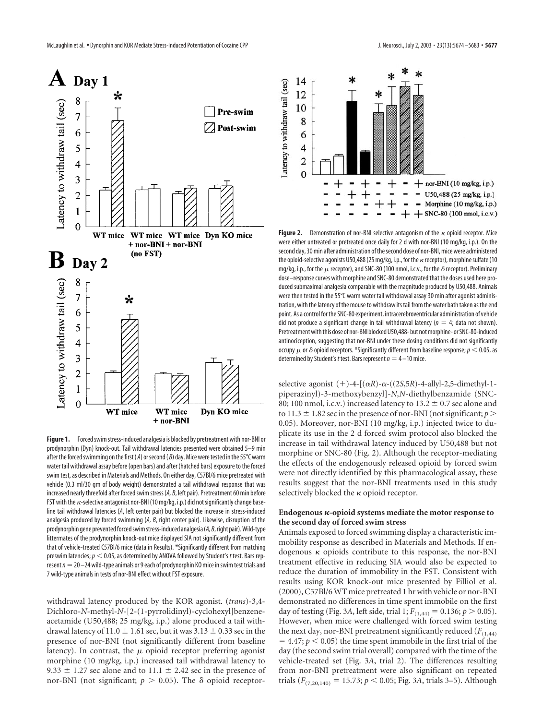

**Figure 1.** Forced swim stress-induced analgesia is blocked by pretreatment with nor-BNI or prodynorphin (Dyn) knock-out. Tail withdrawal latencies presented were obtained 5–9 min after the forced swimming on the first ( *A*) or second ( *B*) day. Mice were tested in the 55°C warm water tail withdrawal assay before (open bars) and after (hatched bars) exposure to the forced swim test, as described in Materials and Methods. On either day, C57Bl/6 mice pretreated with vehicle (0.3 ml/30 gm of body weight) demonstrated a tail withdrawal response that was increased nearly threefold after forced swim stress (*A, B*, left pair). Pretreatment 60 min before FST with the  $\kappa$ -selective antagonist nor-BNI (10 mg/kg, i.p.) did not significantly change baseline tail withdrawal latencies (*A*, left center pair) but blocked the increase in stress-induced analgesia produced by forced swimming (*A, B*, right center pair). Likewise, disruption of the prodynorphin gene prevented forced swim stress-induced analgesia (*A, B*, right pair). Wild-type littermates of the prodynorphin knock-out mice displayed SIA not significantly different from that of vehicle-treated C57Bl/6 mice (data in Results). \*Significantly different from matching preswim latencies;*p* 0.05, as determined by ANOVA followed by Student's *t* test. Bars represent  $n=20$  –24 wild-type animals or 9 each of prodynorphin KO mice in swim test trials and 7 wild-type animals in tests of nor-BNI effect without FST exposure.

withdrawal latency produced by the KOR agonist. (*trans*)-3,4- Dichloro-*N*-methyl-*N*-[2-(1-pyrrolidinyl)-cyclohexyl]benzeneacetamide (U50,488; 25 mg/kg, i.p.) alone produced a tail withdrawal latency of 11.0  $\pm$  1.61 sec, but it was 3.13  $\pm$  0.33 sec in the presence of nor-BNI (not significantly different from baseline latency). In contrast, the  $\mu$  opioid receptor preferring agonist morphine (10 mg/kg, i.p.) increased tail withdrawal latency to 9.33  $\pm$  1.27 sec alone and to 11.1  $\pm$  2.42 sec in the presence of nor-BNI (not significant;  $p > 0.05$ ). The  $\delta$  opioid receptor-



**Figure 2.** Demonstration of nor-BNI selective antagonism of the  $\kappa$  opioid receptor. Mice were either untreated or pretreated once daily for 2 d with nor-BNI (10 mg/kg, i.p.). On the second day, 30 min after administration of the second dose of nor-BNI, mice were administered the opioid-selective agonists U50,488 (25 mg/kg, i.p., for the  $\kappa$  receptor), morphine sulfate (10 mg/kg, i.p., for the  $\mu$  receptor), and SNC-80 (100 nmol, i.c.v., for the  $\delta$  receptor). Preliminary dose–response curves with morphine and SNC-80 demonstrated that the doses used here produced submaximal analgesia comparable with the magnitude produced by U50,488. Animals were then tested in the 55°C warm water tail withdrawal assay 30 min after agonist administration, with the latency of the mouse to withdraw its tail from the water bath taken as the end point. As a control for the SNC-80 experiment, intracerebroventricular administration of vehicle did not produce a significant change in tail withdrawal latency  $(n = 4;$  data not shown). Pretreatment with this dose of nor-BNI blocked U50,488- but not morphine- or SNC-80-induced antinociception, suggesting that nor-BNI under these dosing conditions did not significantly occupy  $\mu$  or  $\delta$  opioid receptors. \*Significantly different from baseline response;  $p < 0.05$ , as determined by Student's *t* test. Bars represent  $n = 4 - 10$  mice.

selective agonist  $(+)$ -4- $[(\alpha R)$ - $\alpha$ - $((2S,5R)$ -4-allyl-2,5-dimethyl-1piperazinyl)-3-methoxybenzyl]-*N,N*-diethylbenzamide (SNC-80; 100 nmol, i.c.v.) increased latency to 13.2  $\pm$  0.7 sec alone and to 11.3  $\pm$  1.82 sec in the presence of nor-BNI (not significant; *p* > 0.05). Moreover, nor-BNI (10 mg/kg, i.p.) injected twice to duplicate its use in the 2 d forced swim protocol also blocked the increase in tail withdrawal latency induced by U50,488 but not morphine or SNC-80 (Fig. 2). Although the receptor-mediating the effects of the endogenously released opioid by forced swim were not directly identified by this pharmacological assay, these results suggest that the nor-BNI treatments used in this study selectively blocked the  $\kappa$  opioid receptor.

## **Endogenous -opioid systems mediate the motor response to the second day of forced swim stress**

Animals exposed to forced swimming display a characteristic immobility response as described in Materials and Methods. If endogenous  $\kappa$  opioids contribute to this response, the nor-BNI treatment effective in reducing SIA would also be expected to reduce the duration of immobility in the FST. Consistent with results using KOR knock-out mice presented by Filliol et al. (2000), C57Bl/6 WT mice pretreated 1 hr with vehicle or nor-BNI demonstrated no differences in time spent immobile on the first day of testing (Fig. 3A, left side, trial 1;  $F_{(1,44)} = 0.136$ ;  $p > 0.05$ ). However, when mice were challenged with forced swim testing the next day, nor-BNI pretreatment significantly reduced  $(F_{(1,44)}$  $=$  4.47;  $p \le 0.05$ ) the time spent immobile in the first trial of the day (the second swim trial overall) compared with the time of the vehicle-treated set (Fig. 3*A*, trial 2). The differences resulting from nor-BNI pretreatment were also significant on repeated trials ( $F_{(7,20,140)} = 15.73$ ;  $p < 0.05$ ; Fig. 3*A*, trials 3–5). Although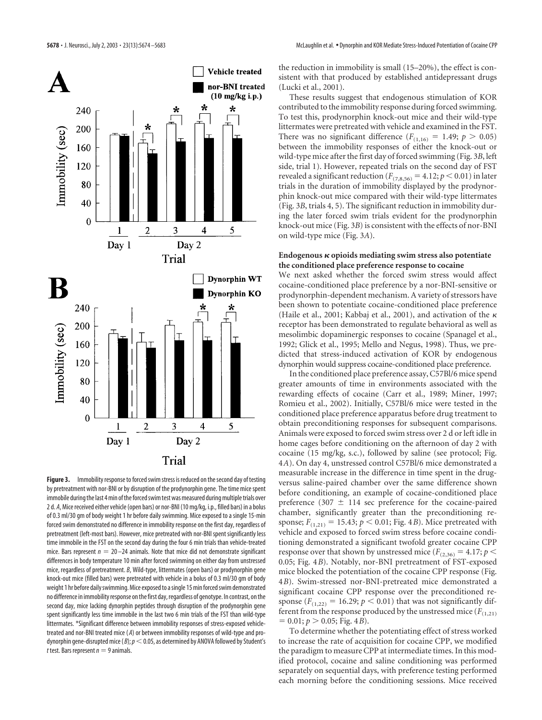

**Figure 3.** Immobility response to forced swim stress is reduced on the second day of testing by pretreatment with nor-BNI or by disruption of the prodynorphin gene. The time mice spent immobile during the last 4 min of the forced swim test was measured during multiple trials over 2 d. *A*, Mice received either vehicle (open bars) or nor-BNI (10 mg/kg, i.p., filled bars) in a bolus of 0.3 ml/30 gm of body weight 1 hr before daily swimming. Mice exposed to a single 15-min forced swim demonstrated no difference in immobility response on the first day, regardless of pretreatment (left-most bars). However, mice pretreated with nor-BNI spent significantly less time immobile in the FST on the second day during the four 6 min trials than vehicle-treated mice. Bars represent  $n = 20 - 24$  animals. Note that mice did not demonstrate significant differences in body temperature 10 min after forced swimming on either day from unstressed mice, regardless of pretreatment. *B*, Wild-type, littermates (open bars) or prodynorphin gene knock-out mice (filled bars) were pretreated with vehicle in a bolus of 0.3 ml/30 gm of body weight 1 hr before daily swimming. Mice exposed to a single 15 min forced swim demonstrated no difference in immobility response on the first day, regardless of genotype. In contrast, on the second day, mice lacking dynorphin peptides through disruption of the prodynorphin gene spent significantly less time immobile in the last two 6 min trials of the FST than wild-type littermates. \*Significant difference between immobility responses of stress-exposed vehicletreated and nor-BNI treated mice ( *A*) or between immobility responses of wild-type and prodynorphin gene-disrupted mice ( $B$ );  $p<$  0.05, as determined by ANOVA followed by Student's  $t$  test. Bars represent  $n = 9$  animals.

the reduction in immobility is small (15–20%), the effect is consistent with that produced by established antidepressant drugs (Lucki et al., 2001).

These results suggest that endogenous stimulation of KOR contributed to the immobility response during forced swimming. To test this, prodynorphin knock-out mice and their wild-type littermates were pretreated with vehicle and examined in the FST. There was no significant difference  $(F_{(1,16)} = 1.49; p > 0.05)$ between the immobility responses of either the knock-out or wild-type mice after the first day of forced swimming (Fig. 3*B*, left side, trial 1). However, repeated trials on the second day of FST revealed a significant reduction ( $F_{(7,8,56)} = 4.12$ ;  $p < 0.01$ ) in later trials in the duration of immobility displayed by the prodynorphin knock-out mice compared with their wild-type littermates (Fig. 3*B*, trials 4, 5). The significant reduction in immobility during the later forced swim trials evident for the prodynorphin knock-out mice (Fig. 3*B*) is consistent with the effects of nor-BNI on wild-type mice (Fig. 3*A*).

#### Endogenous  $\kappa$  opioids mediating swim stress also potentiate **the conditioned place preference response to cocaine**

We next asked whether the forced swim stress would affect cocaine-conditioned place preference by a nor-BNI-sensitive or prodynorphin-dependent mechanism. A variety of stressors have been shown to potentiate cocaine-conditioned place preference (Haile et al., 2001; Kabbaj et al., 2001), and activation of the  $\kappa$ receptor has been demonstrated to regulate behavioral as well as mesolimbic dopaminergic responses to cocaine (Spanagel et al., 1992; Glick et al., 1995; Mello and Negus, 1998). Thus, we predicted that stress-induced activation of KOR by endogenous dynorphin would suppress cocaine-conditioned place preference.

In the conditioned place preference assay, C57Bl/6 mice spend greater amounts of time in environments associated with the rewarding effects of cocaine (Carr et al., 1989; Miner, 1997; Romieu et al., 2002). Initially, C57Bl/6 mice were tested in the conditioned place preference apparatus before drug treatment to obtain preconditioning responses for subsequent comparisons. Animals were exposed to forced swim stress over 2 d orleft idle in home cages before conditioning on the afternoon of day 2 with cocaine (15 mg/kg, s.c.), followed by saline (see protocol; Fig. 4*A*). On day 4, unstressed control C57Bl/6 mice demonstrated a measurable increase in the difference in time spent in the drugversus saline-paired chamber over the same difference shown before conditioning, an example of cocaine-conditioned place preference (307  $\pm$  114 sec preference for the cocaine-paired chamber, significantly greater than the preconditioning response;  $F_{(1,21)} = 15.43$ ;  $p < 0.01$ ; Fig. 4*B*). Mice pretreated with vehicle and exposed to forced swim stress before cocaine conditioning demonstrated a significant twofold greater cocaine CPP response over that shown by unstressed mice ( $F_{(2,36)} = 4.17$ ;  $p <$ 0.05; Fig. 4*B*). Notably, nor-BNI pretreatment of FST-exposed mice blocked the potentiation of the cocaine CPP response (Fig. 4*B*). Swim-stressed nor-BNI-pretreated mice demonstrated a significant cocaine CPP response over the preconditioned response  $(F_{(1,22)} = 16.29; p < 0.01)$  that was not significantly different from the response produced by the unstressed mice  $(F_{(1,21)}$  $= 0.01; p > 0.05;$  Fig. 4*B*).

To determine whether the potentiating effect of stress worked to increase the rate of acquisition for cocaine CPP, we modified the paradigm to measure CPP at intermediate times. In this modified protocol, cocaine and saline conditioning was performed separately on sequential days, with preference testing performed each morning before the conditioning sessions. Mice received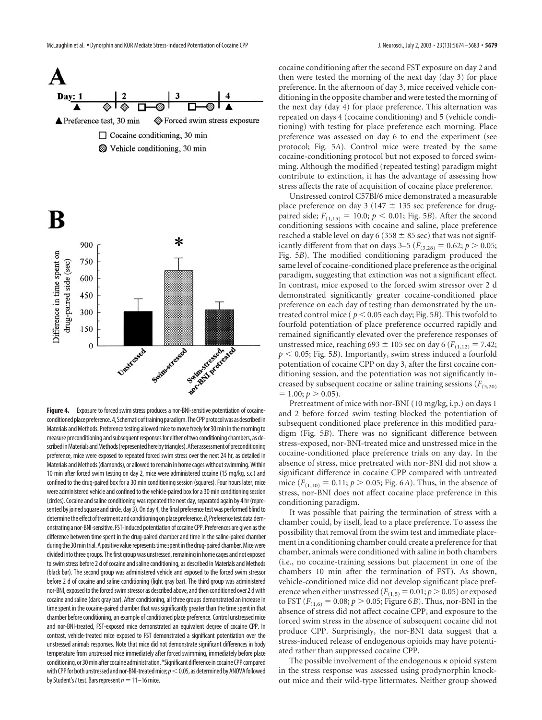



Figure 4. Exposure to forced swim stress produces a nor-BNI-sensitive potentiation of cocaineconditioned place preference. A, Schematic of training paradigm. The CPP protocol was as described in Materials and Methods. Preference testing allowed mice to move freely for 30 min in the morning to measure preconditioning and subsequent responses for either of two conditioning chambers, as described in Materials and Methods (represented here by triangles). After assessment of preconditioning preference, mice were exposed to repeated forced swim stress over the next 24 hr, as detailed in Materials and Methods (diamonds), or allowed to remain in home cages without swimming. Within 10 min after forced swim testing on day 2, mice were administered cocaine (15 mg/kg, s.c.) and confined to the drug-paired box for a 30 min conditioning session (squares). Four hours later, mice were administered vehicle and confined to the vehicle-paired box for a 30 min conditioning session (circles). Cocaine and saline conditioning was repeated the next day, separated again by 4 hr (represented by joined square and circle, day 3). On day 4, the final preference test was performed blind to determine the effect of treatment and conditioning on place preference.*B*, Preference test data demonstrating a nor-BNI-sensitive, FST-induced potentiation of cocaine CPP. Preferences are given as the difference between time spent in the drug-paired chamber and time in the saline-paired chamber during the 30 min trial. A positive value represents time spent in the drug-paired chamber. Mice were divided into three groups. The first group was unstressed, remaining in home cages and not exposed to swim stress before 2 d of cocaine and saline conditioning, as described in Materials and Methods (black bar). The second group was administered vehicle and exposed to the forced swim stressor before 2 d of cocaine and saline conditioning (light gray bar). The third group was administered nor-BNI, exposed to the forced swim stressor as described above, and then conditioned over 2 d with cocaine and saline (dark gray bar). After conditioning, all three groups demonstrated an increase in time spent in the cocaine-paired chamber that was significantly greater than the time spent in that chamber before conditioning, an example of conditioned place preference. Control unstressed mice and nor-BNI-treated, FST-exposed mice demonstrated an equivalent degree of cocaine CPP. In contrast, vehicle-treated mice exposed to FST demonstrated a significant potentiation over the unstressed animals responses. Note that mice did not demonstrate significant differences in body temperature from unstressed mice immediately after forced swimming, immediately before place conditioning, or 30 min after cocaine administration. \*Significant difference in cocaine CPP compared with CPP for both unstressed and nor-BNI-treated mice;  $p<$  0.05, as determined by ANOVA followed by Student's *t* test. Bars represent  $n=11-16$  mice.

cocaine conditioning after the second FST exposure on day 2 and then were tested the morning of the next day (day 3) for place preference. In the afternoon of day 3, mice received vehicle conditioning in the opposite chamber and were tested the morning of the next day (day 4) for place preference. This alternation was repeated on days 4 (cocaine conditioning) and 5 (vehicle conditioning) with testing for place preference each morning. Place preference was assessed on day 6 to end the experiment (see protocol; Fig. 5*A*). Control mice were treated by the same cocaine-conditioning protocol but not exposed to forced swimming. Although the modified (repeated testing) paradigm might contribute to extinction, it has the advantage of assessing how stress affects the rate of acquisition of cocaine place preference.

Unstressed control C57Bl/6 mice demonstrated a measurable place preference on day 3 (147  $\pm$  135 sec preference for drugpaired side;  $F_{(1,15)} = 10.0; p < 0.01;$  Fig. 5*B*). After the second conditioning sessions with cocaine and saline, place preference reached a stable level on day 6 (358  $\pm$  85 sec) that was not significantly different from that on days 3–5 ( $F_{(3,28)} = 0.62$ ;  $p > 0.05$ ; Fig. 5*B*). The modified conditioning paradigm produced the same level of cocaine-conditioned place preference as the original paradigm, suggesting that extinction was not a significant effect. In contrast, mice exposed to the forced swim stressor over 2 d demonstrated significantly greater cocaine-conditioned place preference on each day of testing than demonstrated by the untreated control mice ( $p < 0.05$  each day; Fig. 5*B*). This twofold to fourfold potentiation of place preference occurred rapidly and remained significantly elevated over the preference responses of unstressed mice, reaching 693  $\pm$  105 sec on day 6 ( $F_{(1,12)} = 7.42$ ;  $p < 0.05$ ; Fig. 5*B*). Importantly, swim stress induced a fourfold potentiation of cocaine CPP on day 3, after the first cocaine conditioning session, and the potentiation was not significantly increased by subsequent cocaine or saline training sessions ( $F_{(3,20)}$ )  $= 1.00; p > 0.05$ ).

Pretreatment of mice with nor-BNI (10 mg/kg, i.p.) on days 1 and 2 before forced swim testing blocked the potentiation of subsequent conditioned place preference in this modified paradigm (Fig. 5*B*). There was no significant difference between stress-exposed, nor-BNI-treated mice and unstressed mice in the cocaine-conditioned place preference trials on any day. In the absence of stress, mice pretreated with nor-BNI did not show a significant difference in cocaine CPP compared with untreated mice  $(F_{(1,10)} = 0.11; p > 0.05; Fig. 6*A*). Thus, in the absence of$ stress, nor-BNI does not affect cocaine place preference in this conditioning paradigm.

It was possible that pairing the termination of stress with a chamber could, by itself, lead to a place preference. To assess the possibility that removal from the swim test and immediate placement in a conditioning chamber could create a preference for that chamber, animals were conditioned with saline in both chambers (i.e., no cocaine-training sessions but placement in one of the chambers 10 min after the termination of FST). As shown, vehicle-conditioned mice did not develop significant place preference when either unstressed ( $F_{(1,5)} = 0.01$ ;  $p > 0.05$ ) or exposed to FST ( $F_{(1,6)} = 0.08; p > 0.05;$  Figure 6*B*). Thus, nor-BNI in the absence of stress did not affect cocaine CPP, and exposure to the forced swim stress in the absence of subsequent cocaine did not produce CPP. Surprisingly, the nor-BNI data suggest that a stress-induced release of endogenous opioids may have potentiated rather than suppressed cocaine CPP.

The possible involvement of the endogenous  $\kappa$  opioid system in the stress response was assessed using prodynorphin knockout mice and their wild-type littermates. Neither group showed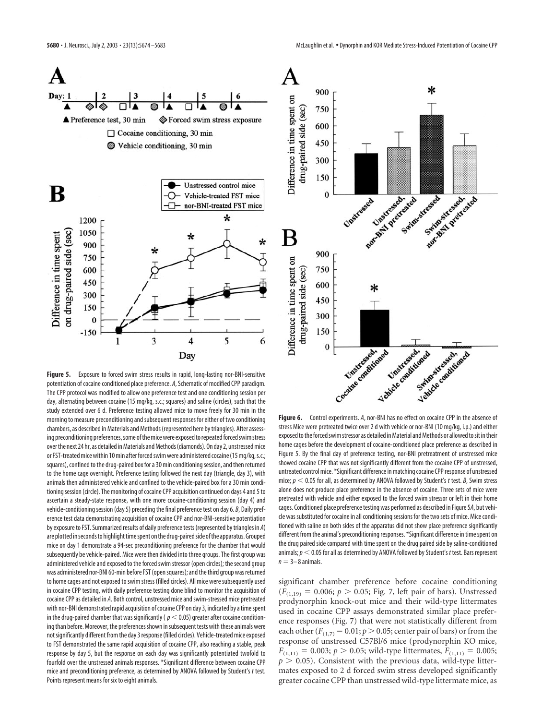

**Figure 5.** Exposure to forced swim stress results in rapid, long-lasting nor-BNI-sensitive potentiation of cocaine conditioned place preference. *A*, Schematic of modified CPP paradigm. The CPP protocol was modified to allow one preference test and one conditioning session per day, alternating between cocaine (15 mg/kg, s.c.; squares) and saline (circles), such that the study extended over 6 d. Preference testing allowed mice to move freely for 30 min in the morning to measure preconditioning and subsequent responses for either of two conditioning chambers, as described in Materials and Methods (represented here by triangles). After assessing preconditioning preferences, some of the mice were exposed to repeated forced swim stress over the next 24 hr, as detailed in Materials and Methods (diamonds). On day 2, unstressed mice or FST-treated mice within 10 min after forced swim were administered cocaine (15 mg/kg, s.c.; squares), confined to the drug-paired box for a 30 min conditioning session, and then returned to the home cage overnight. Preference testing followed the next day (triangle, day 3), with animals then administered vehicle and confined to the vehicle-paired box for a 30 min conditioning session (circle). The monitoring of cocaine CPP acquisition continued on days 4 and 5 to ascertain a steady-state response, with one more cocaine-conditioning session (day 4) and vehicle-conditioning session (day 5) preceding the final preference test on day 6. *B*, Daily preference test data demonstrating acquisition of cocaine CPP and nor-BNI-sensitive potentiation by exposure to FST. Summarized results of daily preference tests (represented by triangles in *A*) are plotted in seconds to highlight time spent on the drug-paired side of the apparatus. Grouped mice on day 1 demonstrate a 94-sec preconditioning preference for the chamber that would subsequently be vehicle-paired. Mice were then divided into three groups. The first group was administered vehicle and exposed to the forced swim stressor (open circles); the second group was administered nor-BNI 60-min before FST (open squares); and the third group was returned to home cages and not exposed to swim stress (filled circles). All mice were subsequently used in cocaine CPP testing, with daily preference testing done blind to monitor the acquisition of cocaine CPP as detailed in *A*. Both control, unstressed mice and swim-stressed mice pretreated with nor-BNI demonstrated rapid acquisition of cocaine CPP on day 3, indicated by a time spent in the drug-paired chamber that was significantly ( $p < 0.05$ ) greater after cocaine conditioning than before. Moreover, the preferences shown in subsequent tests with these animals were not significantly different from the day 3 response (filled circles). Vehicle-treated mice exposed to FST demonstrated the same rapid acquisition of cocaine CPP, also reaching a stable, peak response by day 5, but the response on each day was significantly potentiated twofold to fourfold over the unstressed animals responses. \*Significant difference between cocaine CPP mice and preconditioning preference, as determined by ANOVA followed by Student's *t* test. Points represent means for six to eight animals.



**Figure 6.** Control experiments. *A*, nor-BNI has no effect on cocaine CPP in the absence of stress Mice were pretreated twice over 2 d with vehicle or nor-BNI (10 mg/kg, i.p.) and either exposed to the forced swim stressor as detailed in Material and Methods or allowed to sit in their home cages before the development of cocaine-conditioned place preference as described in Figure 5. By the final day of preference testing, nor-BNI pretreatment of unstressed mice showed cocaine CPP that was not significantly different from the cocaine CPP of unstressed, untreated control mice. \*Significant difference in matching cocaine CPP response of unstressed mice; *p* 0.05 for all, as determined by ANOVA followed by Student's *t* test. *B*, Swim stress alone does not produce place preference in the absence of cocaine. Three sets of mice were pretreated with vehicle and either exposed to the forced swim stressor or left in their home cages. Conditioned place preference testing was performed as described in Figure 5*A*, but vehicle was substituted for cocaine in all conditioning sessions for the two sets of mice. Mice conditioned with saline on both sides of the apparatus did not show place preference significantly different from the animal's preconditioning responses. \*Significant difference in time spent on the drug paired side compared with time spent on the drug paired side by saline-conditioned animals;  $p < 0.05$  for all as determined by ANOVA followed by Student's *t* test. Bars represent  $n = 3-8$  animals.

significant chamber preference before cocaine conditioning  $(F_{(1,19)} = 0.006; p > 0.05; Fig. 7, left pair of bars).$  Unstressed prodynorphin knock-out mice and their wild-type littermates used in cocaine CPP assays demonstrated similar place preference responses (Fig. 7) that were not statistically different from each other  $(F_{(1,7)} = 0.01; p > 0.05;$  center pair of bars) or from the response of unstressed C57Bl/6 mice (prodynorphin KO mice,  $F_{(1,11)} = 0.003$ ;  $p > 0.05$ ; wild-type littermates,  $F_{(1,11)} = 0.005$ ;  $p > 0.05$ ). Consistent with the previous data, wild-type littermates exposed to 2 d forced swim stress developed significantly greater cocaine CPP than unstressed wild-type littermate mice, as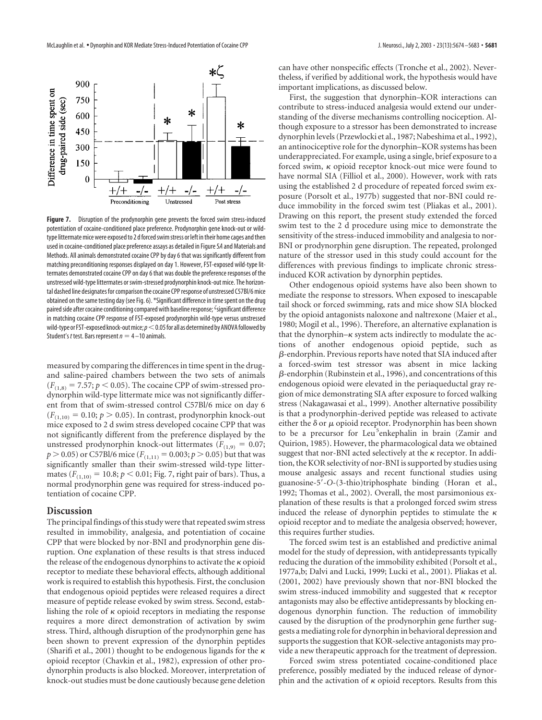

**Figure 7.** Disruption of the prodynorphin gene prevents the forced swim stress-induced potentiation of cocaine-conditioned place preference. Prodynorphin gene knock-out or wildtype littermate mice were exposed to 2 d forced swim stress or left in their home cages and then used in cocaine-conditioned place preference assays as detailed in Figure 5*A* and Materials and Methods. All animals demonstrated cocaine CPP by day 6 that was significantly different from matching preconditioning responses displayed on day 1. However, FST-exposed wild-type littermates demonstrated cocaine CPP on day 6 that was double the preference responses of the unstressed wild-type littermates or swim-stressed prodynorphin knock-out mice. The horizontal dashed line designates for comparison the cocaine CPP response of unstressed C57Bl/6 mice obtained on the same testing day (see Fig. 6). \*Significant difference in time spent on the drug paired side after cocaine conditioning compared with baseline response; <sup>¿</sup>significant difference in matching cocaine CPP response of FST-exposed prodynorphin wild-type versus unstressed wild-type or FST-exposed knock-out mice;  $p<$  0.05 for all as determined by ANOVA followed by Student's *t* test. Bars represent  $n = 4 - 10$  animals.

measured by comparing the differences in time spent in the drugand saline-paired chambers between the two sets of animals  $(F<sub>(1,8)</sub> = 7.57; p < 0.05)$ . The cocaine CPP of swim-stressed prodynorphin wild-type littermate mice was not significantly different from that of swim-stressed control C57Bl/6 mice on day 6  $(F<sub>(1,10)</sub> = 0.10; p > 0.05)$ . In contrast, prodynorphin knock-out mice exposed to 2 d swim stress developed cocaine CPP that was not significantly different from the preference displayed by the unstressed prodynorphin knock-out littermates ( $F_{(1,9)} = 0.07$ ;  $p > 0.05$ ) or C57Bl/6 mice ( $F_{(1,11)} = 0.003$ ;  $p > 0.05$ ) but that was significantly smaller than their swim-stressed wild-type littermates  $(F_{(1,10)} = 10.8; p < 0.01;$  Fig. 7, right pair of bars). Thus, a normal prodynorphin gene was required for stress-induced potentiation of cocaine CPP.

#### **Discussion**

The principal findings of this study were that repeated swim stress resulted in immobility, analgesia, and potentiation of cocaine CPP that were blocked by nor-BNI and prodynorphin gene disruption. One explanation of these results is that stress induced the release of the endogenous dynorphins to activate the  $\kappa$  opioid receptor to mediate these behavioral effects, although additional work is required to establish this hypothesis. First, the conclusion that endogenous opioid peptides were released requires a direct measure of peptide release evoked by swim stress. Second, establishing the role of  $\kappa$  opioid receptors in mediating the response requires a more direct demonstration of activation by swim stress. Third, although disruption of the prodynorphin gene has been shown to prevent expression of the dynorphin peptides (Sharifi et al., 2001) thought to be endogenous ligands for the  $\kappa$ opioid receptor (Chavkin et al., 1982), expression of other prodynorphin products is also blocked. Moreover, interpretation of knock-out studies must be done cautiously because gene deletion

can have other nonspecific effects (Tronche et al., 2002). Nevertheless, if verified by additional work, the hypothesis would have important implications, as discussed below.

First, the suggestion that dynorphin–KOR interactions can contribute to stress-induced analgesia would extend our understanding of the diverse mechanisms controlling nociception. Although exposure to a stressor has been demonstrated to increase dynorphin levels (Przewlocki et al., 1987; Nabeshima et al., 1992), an antinociceptive role for the dynorphin–KOR systems has been underappreciated. For example, using a single, brief exposure to a forced swim,  $\kappa$  opioid receptor knock-out mice were found to have normal SIA (Filliol et al., 2000). However, work with rats using the established 2 d procedure of repeated forced swim exposure (Porsolt et al., 1977b) suggested that nor-BNI could reduce immobility in the forced swim test (Pliakas et al., 2001). Drawing on this report, the present study extended the forced swim test to the 2 d procedure using mice to demonstrate the sensitivity of the stress-induced immobility and analgesia to nor-BNI or prodynorphin gene disruption. The repeated, prolonged nature of the stressor used in this study could account for the differences with previous findings to implicate chronic stressinduced KOR activation by dynorphin peptides.

Other endogenous opioid systems have also been shown to mediate the response to stressors. When exposed to inescapable tail shock or forced swimming, rats and mice show SIA blocked by the opioid antagonists naloxone and naltrexone (Maier et al., 1980; Mogil et al., 1996). Therefore, an alternative explanation is that the dynorphin– $\kappa$  system acts indirectly to modulate the actions of another endogenous opioid peptide, such as  $\beta$ -endorphin. Previous reports have noted that SIA induced after a forced-swim test stressor was absent in mice lacking  $\beta$ -endorphin (Rubinstein et al., 1996), and concentrations of this endogenous opioid were elevated in the periaqueductal gray region of mice demonstrating SIA after exposure to forced walking stress (Nakagawasai et al., 1999). Another alternative possibility is that a prodynorphin-derived peptide was released to activate either the  $\delta$  or  $\mu$  opioid receptor. Prodynorphin has been shown to be a precursor for Leu<sup>5</sup>enkephalin in brain (Zamir and Quirion, 1985). However, the pharmacological data we obtained suggest that nor-BNI acted selectively at the  $\kappa$  receptor. In addition, the KOR selectivity of nor-BNI is supported by studies using mouse analgesic assays and recent functional studies using guanosine-5--*O*-(3-thio)triphosphate binding (Horan et al., 1992; Thomas et al., 2002). Overall, the most parsimonious explanation of these results is that a prolonged forced swim stress induced the release of dynorphin peptides to stimulate the  $\kappa$ opioid receptor and to mediate the analgesia observed; however, this requires further studies.

The forced swim test is an established and predictive animal model for the study of depression, with antidepressants typically reducing the duration of the immobility exhibited (Porsolt et al., 1977a,b; Dalvi and Lucki, 1999; Lucki et al., 2001). Pliakas et al. (2001, 2002) have previously shown that nor-BNI blocked the swim stress-induced immobility and suggested that  $\kappa$  receptor antagonists may also be effective antidepressants by blocking endogenous dynorphin function. The reduction of immobility caused by the disruption of the prodynorphin gene further suggests a mediating role for dynorphin in behavioral depression and supports the suggestion that KOR-selective antagonists may provide a new therapeutic approach for the treatment of depression.

Forced swim stress potentiated cocaine-conditioned place preference, possibly mediated by the induced release of dynorphin and the activation of  $\kappa$  opioid receptors. Results from this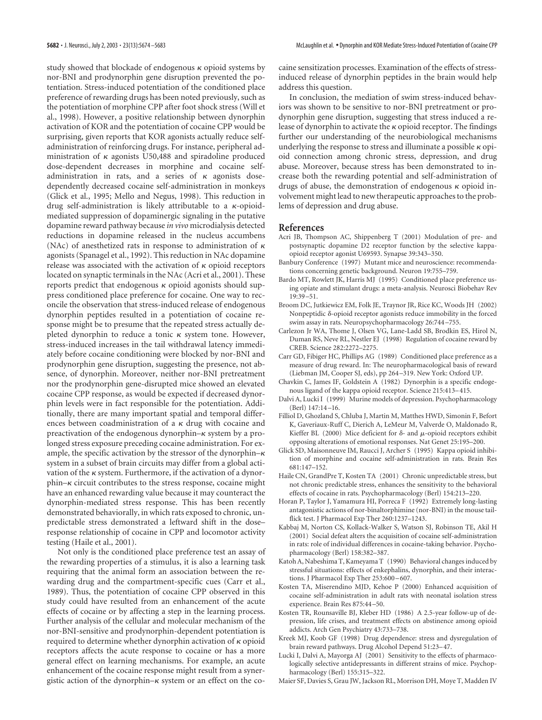study showed that blockade of endogenous  $\kappa$  opioid systems by nor-BNI and prodynorphin gene disruption prevented the potentiation. Stress-induced potentiation of the conditioned place preference of rewarding drugs has been noted previously, such as the potentiation of morphine CPP after foot shock stress (Will et al., 1998). However, a positive relationship between dynorphin activation of KOR and the potentiation of cocaine CPP would be surprising, given reports that KOR agonists actually reduce selfadministration of reinforcing drugs. For instance, peripheral administration of  $\kappa$  agonists U50,488 and spiradoline produced dose-dependent decreases in morphine and cocaine selfadministration in rats, and a series of  $\kappa$  agonists dosedependently decreased cocaine self-administration in monkeys (Glick et al., 1995; Mello and Negus, 1998). This reduction in drug self-administration is likely attributable to a  $\kappa$ -opioidmediated suppression of dopaminergic signaling in the putative dopamine reward pathway because *in vivo* microdialysis detected reductions in dopamine released in the nucleus accumbens (NAc) of anesthetized rats in response to administration of  $\kappa$ agonists (Spanagel et al., 1992). This reduction in NAc dopamine release was associated with the activation of  $\kappa$  opioid receptors located on synaptic terminals in the NAc (Acri et al., 2001). These reports predict that endogenous  $\kappa$  opioid agonists should suppress conditioned place preference for cocaine. One way to reconcile the observation that stress-induced release of endogenous dynorphin peptides resulted in a potentiation of cocaine response might be to presume that the repeated stress actually depleted dynorphin to reduce a tonic  $\kappa$  system tone. However, stress-induced increases in the tail withdrawal latency immediately before cocaine conditioning were blocked by nor-BNI and prodynorphin gene disruption, suggesting the presence, not absence, of dynorphin. Moreover, neither nor-BNI pretreatment nor the prodynorphin gene-disrupted mice showed an elevated cocaine CPP response, as would be expected if decreased dynorphin levels were in fact responsible for the potentiation. Additionally, there are many important spatial and temporal differences between coadministration of a  $\kappa$  drug with cocaine and preactivation of the endogenous dynorphin– $\kappa$  system by a prolonged stress exposure preceding cocaine administration. For example, the specific activation by the stressor of the dynorphin– $\kappa$ system in a subset of brain circuits may differ from a global activation of the  $\kappa$  system. Furthermore, if the activation of a dynor $phin-\kappa$  circuit contributes to the stress response, cocaine might have an enhanced rewarding value because it may counteract the dynorphin-mediated stress response. This has been recently demonstrated behaviorally, in which rats exposed to chronic, unpredictable stress demonstrated a leftward shift in the dose– response relationship of cocaine in CPP and locomotor activity testing (Haile et al., 2001).

Not only is the conditioned place preference test an assay of the rewarding properties of a stimulus, it is also a learning task requiring that the animal form an association between the rewarding drug and the compartment-specific cues (Carr et al., 1989). Thus, the potentiation of cocaine CPP observed in this study could have resulted from an enhancement of the acute effects of cocaine or by affecting a step in the learning process. Further analysis of the cellular and molecular mechanism of the nor-BNI-sensitive and prodynorphin-dependent potentiation is required to determine whether dynorphin activation of  $\kappa$  opioid receptors affects the acute response to cocaine or has a more general effect on learning mechanisms. For example, an acute enhancement of the cocaine response might result from a synergistic action of the dynorphin– $\kappa$  system or an effect on the cocaine sensitization processes. Examination of the effects of stressinduced release of dynorphin peptides in the brain would help address this question.

In conclusion, the mediation of swim stress-induced behaviors was shown to be sensitive to nor-BNI pretreatment or prodynorphin gene disruption, suggesting that stress induced a release of dynorphin to activate the  $\kappa$  opioid receptor. The findings further our understanding of the neurobiological mechanisms underlying the response to stress and illuminate a possible  $\kappa$  opioid connection among chronic stress, depression, and drug abuse. Moreover, because stress has been demonstrated to increase both the rewarding potential and self-administration of drugs of abuse, the demonstration of endogenous  $\kappa$  opioid involvement might lead to new therapeutic approaches to the problems of depression and drug abuse.

#### **References**

- Acri JB, Thompson AC, Shippenberg T (2001) Modulation of pre- and postsynaptic dopamine D2 receptor function by the selective kappaopioid receptor agonist U69593. Synapse 39:343–350.
- Banbury Conference (1997) Mutant mice and neuroscience: recommendations concerning genetic background. Neuron 19:755–759.
- Bardo MT, Rowlett JK, Harris MJ (1995) Conditioned place preference using opiate and stimulant drugs: a meta-analysis. Neurosci Biobehav Rev 19:39–51.
- Broom DC, Jutkiewicz EM, Folk JE, Traynor JR, Rice KC, Woods JH (2002) Nonpeptidic  $\delta$ -opioid receptor agonists reduce immobility in the forced swim assay in rats. Neuropsychopharmacology 26:744–755.
- Carlezon Jr WA, Thome J, Olsen VG, Lane-Ladd SB, Brodkin ES, Hirol N, Duman RS, Neve RL, Nestler EJ (1998) Regulation of cocaine reward by CREB. Science 282:2272–2275.
- Carr GD, Fibiger HC, Phillips AG (1989) Conditioned place preference as a measure of drug reward. In: The neuropharmacological basis of reward (Liebman JM, Cooper SJ, eds), pp 264–319. New York: Oxford UP.
- Chavkin C, James IF, Goldstein A (1982) Dynorphin is a specific endogenous ligand of the kappa opioid receptor. Science 215:413–415.
- Dalvi A, Lucki I (1999) Murine models of depression. Psychopharmacology (Berl) 147:14–16.
- Filliol D, Ghozland S, Chluba J, Martin M, Matthes HWD, Simonin F, Befort K, Gaveriaux-Ruff C, Dierich A, LeMeur M, Valverde O, Maldonado R, Kieffer BL (2000) Mice deficient for  $\delta$ - and  $\mu$ -opioid receptors exhibit opposing alterations of emotional responses. Nat Genet 25:195–200.
- Glick SD, Maisonneuve IM, Raucci J, Archer S (1995) Kappa opioid inhibition of morphine and cocaine self-administration in rats. Brain Res 681:147–152.
- Haile CN, GrandPre T, Kosten TA (2001) Chronic unpredictable stress, but not chronic predictable stress, enhances the sensitivity to the behavioral effects of cocaine in rats. Psychopharmacology (Berl) 154:213–220.
- Horan P, Taylor J, Yamamura HI, Porreca F (1992) Extremely long-lasting antagonistic actions of nor-binaltorphimine (nor-BNI) in the mouse tailflick test. J Pharmacol Exp Ther 260:1237–1243.
- Kabbaj M, Norton CS, Kollack-Walker S, Watson SJ, Robinson TE, Akil H (2001) Social defeat alters the acquisition of cocaine self-administration in rats: role of individual differences in cocaine-taking behavior. Psychopharmacology (Berl) 158:382–387.
- Katoh A, Nabeshima T, Kameyama T (1990) Behavioral changes induced by stressful situations: effects of enkephalins, dynorphin, and their interactions. J Pharmacol Exp Ther 253:600–607.
- Kosten TA, Miserendino MJD, Kehoe P (2000) Enhanced acquisition of cocaine self-administration in adult rats with neonatal isolation stress experience. Brain Res 875:44–50.
- Kosten TR, Rounsaville BJ, Kleber HD (1986) A 2.5-year follow-up of depression, life crises, and treatment effects on abstinence among opioid addicts. Arch Gen Psychiatry 43:733–738.
- Kreek MJ, Koob GF (1998) Drug dependence: stress and dysregulation of brain reward pathways. Drug Alcohol Depend 51:23–47.
- Lucki I, Dalvi A, Mayorga AJ (2001) Sensitivity to the effects of pharmacologically selective antidepressants in different strains of mice. Psychopharmacology (Berl) 155:315–322.
- Maier SF, Davies S, Grau JW, Jackson RL, Morrison DH, Moye T, Madden IV